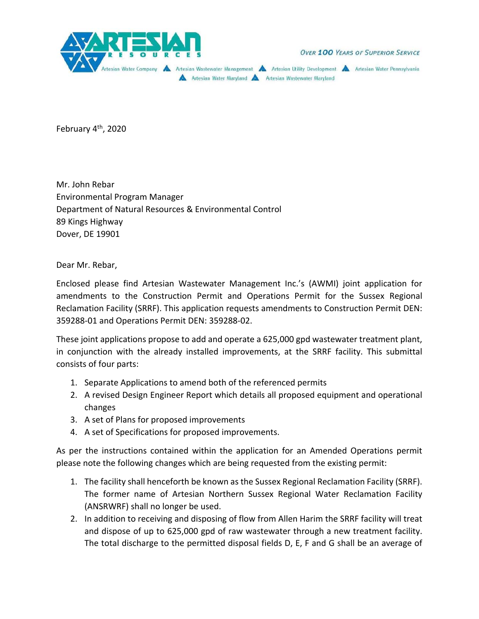

OVER 100 YEARS OF SUPERIOR SERVICE

Artesian Water Company A Artesian Wastewater Management A Artesian Utility Development A Artesian Water Pennsylvania Artesian Water Maryland A Artesian Wastewater Maryland

February 4<sup>th</sup>, 2020

Mr. John Rebar Environmental Program Manager Department of Natural Resources & Environmental Control 89 Kings Highway Dover, DE 19901

Dear Mr. Rebar,

Enclosed please find Artesian Wastewater Management Inc.'s (AWMI) joint application for amendments to the Construction Permit and Operations Permit for the Sussex Regional Reclamation Facility (SRRF). This application requests amendments to Construction Permit DEN: 359288‐01 and Operations Permit DEN: 359288‐02.

These joint applications propose to add and operate a 625,000 gpd wastewater treatment plant, in conjunction with the already installed improvements, at the SRRF facility. This submittal consists of four parts:

- 1. Separate Applications to amend both of the referenced permits
- 2. A revised Design Engineer Report which details all proposed equipment and operational changes
- 3. A set of Plans for proposed improvements
- 4. A set of Specifications for proposed improvements.

As per the instructions contained within the application for an Amended Operations permit please note the following changes which are being requested from the existing permit:

- 1. The facility shall henceforth be known as the Sussex Regional Reclamation Facility (SRRF). The former name of Artesian Northern Sussex Regional Water Reclamation Facility (ANSRWRF) shall no longer be used.
- 2. In addition to receiving and disposing of flow from Allen Harim the SRRF facility will treat and dispose of up to 625,000 gpd of raw wastewater through a new treatment facility. The total discharge to the permitted disposal fields D, E, F and G shall be an average of